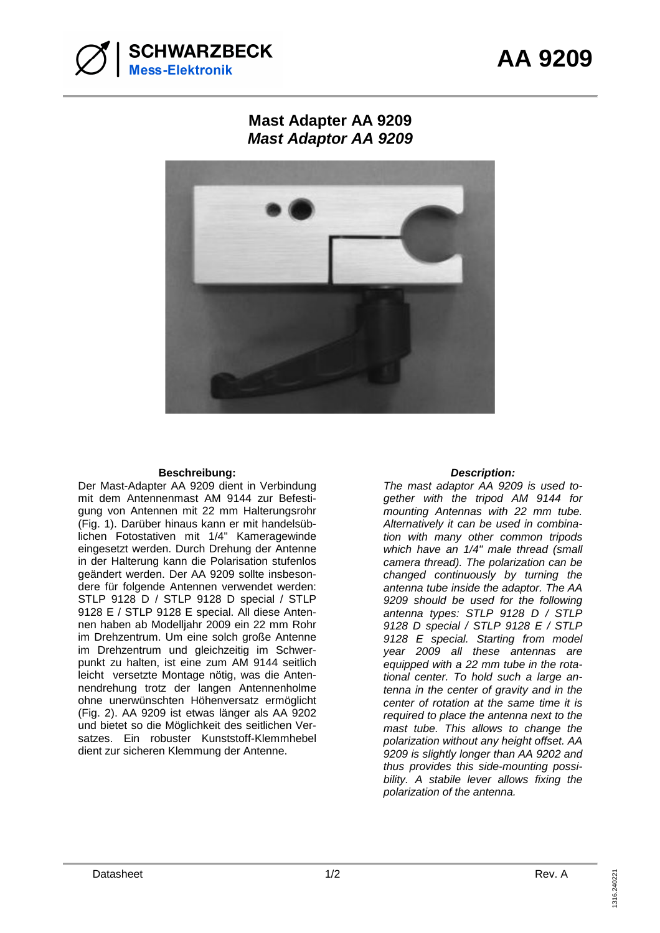

## **Mast Adapter AA 9209 Mast Adaptor AA 9209**



## **Beschreibung: Description:**

Der Mast-Adapter AA 9209 dient in Verbindung mit dem Antennenmast AM 9144 zur Befestigung von Antennen mit 22 mm Halterungsrohr (Fig. 1). Darüber hinaus kann er mit handelsüblichen Fotostativen mit 1/4" Kameragewinde eingesetzt werden. Durch Drehung der Antenne in der Halterung kann die Polarisation stufenlos geändert werden. Der AA 9209 sollte insbesondere für folgende Antennen verwendet werden: STLP 9128 D / STLP 9128 D special / STLP 9128 E / STLP 9128 E special. All diese Antennen haben ab Modelljahr 2009 ein 22 mm Rohr im Drehzentrum. Um eine solch große Antenne im Drehzentrum und gleichzeitig im Schwerpunkt zu halten, ist eine zum AM 9144 seitlich leicht versetzte Montage nötig, was die Antennendrehung trotz der langen Antennenholme ohne unerwünschten Höhenversatz ermöglicht (Fig. 2). AA 9209 ist etwas länger als AA 9202 und bietet so die Möglichkeit des seitlichen Versatzes. Ein robuster Kunststoff-Klemmhebel dient zur sicheren Klemmung der Antenne.

The mast adaptor AA 9209 is used together with the tripod AM 9144 for mounting Antennas with 22 mm tube. Alternatively it can be used in combination with many other common tripods which have an  $1/4"$  male thread (small camera thread). The polarization can be changed continuously by turning the antenna tube inside the adaptor. The AA 9209 should be used for the following antenna types: STLP 9128 D / STLP 9128 D special / STLP 9128 E / STLP 9128 E special. Starting from model year 2009 all these antennas are equipped with a 22 mm tube in the rotational center. To hold such a large antenna in the center of gravity and in the center of rotation at the same time it is required to place the antenna next to the mast tube. This allows to change the polarization without any height offset. AA 9209 is slightly longer than AA 9202 and thus provides this side-mounting possibility. A stabile lever allows fixing the polarization of the antenna.